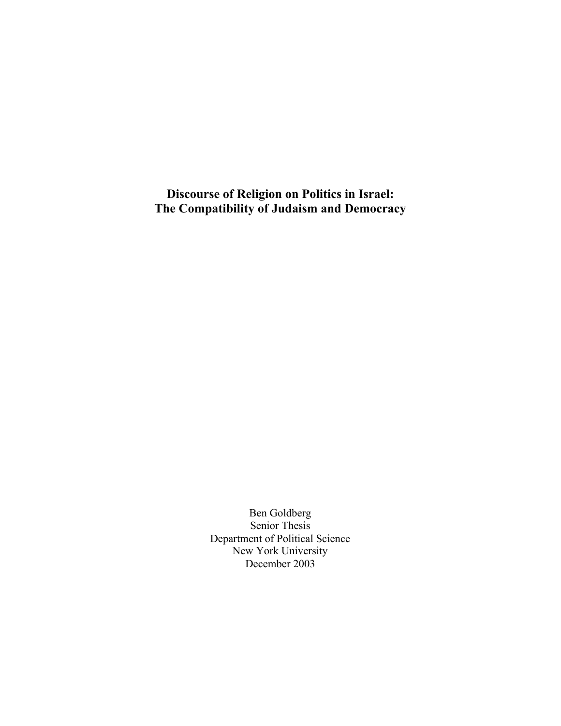Discourse of Religion on Politics in Israel: The Compatibility of Judaism and Democracy

> Ben Goldberg Senior Thesis Department of Political Science New York University December 2003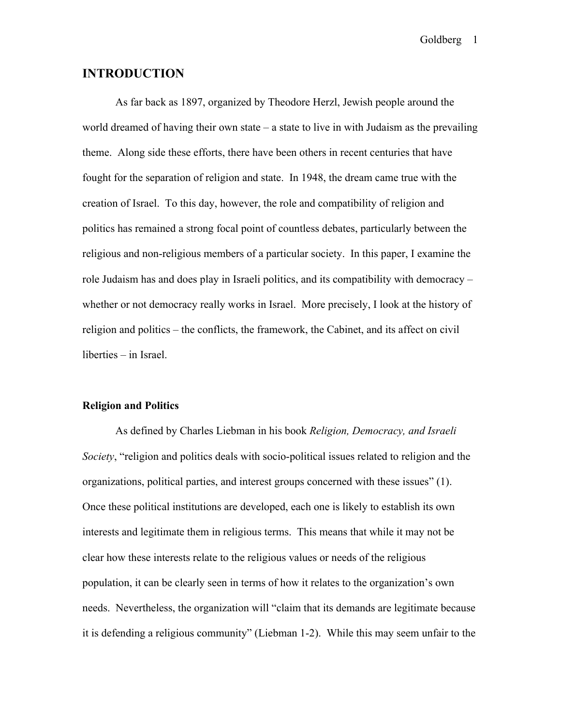# INTRODUCTION

As far back as 1897, organized by Theodore Herzl, Jewish people around the world dreamed of having their own state – a state to live in with Judaism as the prevailing theme. Along side these efforts, there have been others in recent centuries that have fought for the separation of religion and state. In 1948, the dream came true with the creation of Israel. To this day, however, the role and compatibility of religion and politics has remained a strong focal point of countless debates, particularly between the religious and non-religious members of a particular society. In this paper, I examine the role Judaism has and does play in Israeli politics, and its compatibility with democracy – whether or not democracy really works in Israel. More precisely, I look at the history of religion and politics – the conflicts, the framework, the Cabinet, and its affect on civil liberties – in Israel.

#### Religion and Politics

As defined by Charles Liebman in his book *Religion, Democracy, and Israeli Society*, "religion and politics deals with socio-political issues related to religion and the organizations, political parties, and interest groups concerned with these issues" (1). Once these political institutions are developed, each one is likely to establish its own interests and legitimate them in religious terms. This means that while it may not be clear how these interests relate to the religious values or needs of the religious population, it can be clearly seen in terms of how it relates to the organization's own needs. Nevertheless, the organization will "claim that its demands are legitimate because it is defending a religious community" (Liebman 1-2). While this may seem unfair to the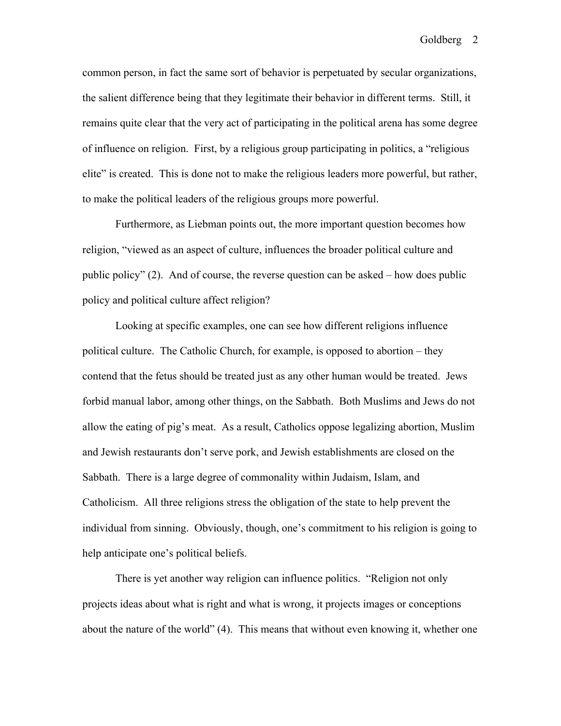common person, in fact the same sort of behavior is perpetuated by secular organizations, the salient difference being that they legitimate their behavior in different terms. Still, it remains quite clear that the very act of participating in the political arena has some degree of influence on religion. First, by a religious group participating in politics, a "religious elite" is created. This is done not to make the religious leaders more powerful, but rather, to make the political leaders of the religious groups more powerful.

Furthermore, as Liebman points out, the more important question becomes how religion, "viewed as an aspect of culture, influences the broader political culture and public policy" (2). And of course, the reverse question can be asked – how does public policy and political culture affect religion?

Looking at specific examples, one can see how different religions influence political culture. The Catholic Church, for example, is opposed to abortion – they contend that the fetus should be treated just as any other human would be treated. Jews forbid manual labor, among other things, on the Sabbath. Both Muslims and Jews do not allow the eating of pig's meat. As a result, Catholics oppose legalizing abortion, Muslim and Jewish restaurants don't serve pork, and Jewish establishments are closed on the Sabbath. There is a large degree of commonality within Judaism, Islam, and Catholicism. All three religions stress the obligation of the state to help prevent the individual from sinning. Obviously, though, one's commitment to his religion is going to help anticipate one's political beliefs.

There is yet another way religion can influence politics. "Religion not only projects ideas about what is right and what is wrong, it projects images or conceptions about the nature of the world" (4). This means that without even knowing it, whether one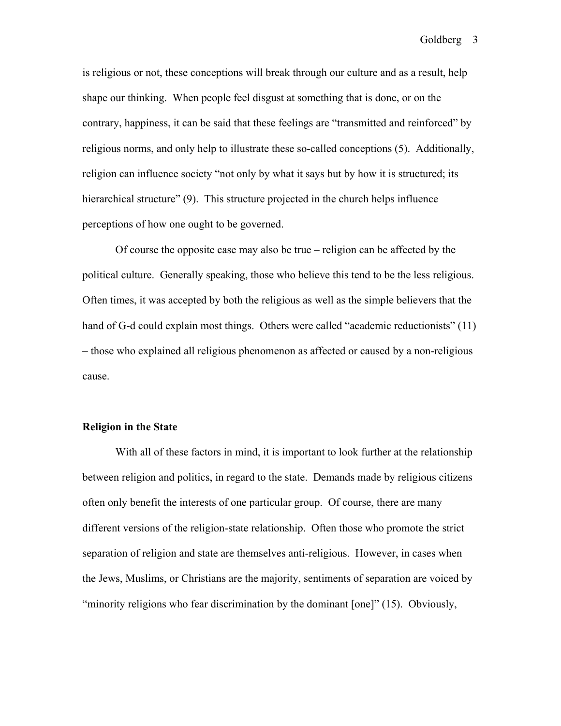is religious or not, these conceptions will break through our culture and as a result, help shape our thinking. When people feel disgust at something that is done, or on the contrary, happiness, it can be said that these feelings are "transmitted and reinforced" by religious norms, and only help to illustrate these so-called conceptions (5). Additionally, religion can influence society "not only by what it says but by how it is structured; its hierarchical structure" (9). This structure projected in the church helps influence perceptions of how one ought to be governed.

Of course the opposite case may also be true – religion can be affected by the political culture. Generally speaking, those who believe this tend to be the less religious. Often times, it was accepted by both the religious as well as the simple believers that the hand of G-d could explain most things. Others were called "academic reductionists" (11) – those who explained all religious phenomenon as affected or caused by a non-religious cause.

### Religion in the State

With all of these factors in mind, it is important to look further at the relationship between religion and politics, in regard to the state. Demands made by religious citizens often only benefit the interests of one particular group. Of course, there are many different versions of the religion-state relationship. Often those who promote the strict separation of religion and state are themselves anti-religious. However, in cases when the Jews, Muslims, or Christians are the majority, sentiments of separation are voiced by "minority religions who fear discrimination by the dominant [one]" (15). Obviously,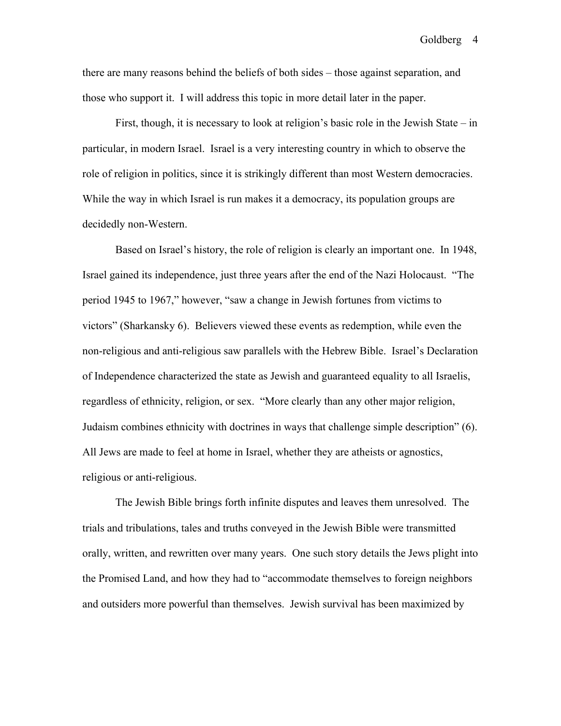there are many reasons behind the beliefs of both sides – those against separation, and those who support it. I will address this topic in more detail later in the paper.

First, though, it is necessary to look at religion's basic role in the Jewish State – in particular, in modern Israel. Israel is a very interesting country in which to observe the role of religion in politics, since it is strikingly different than most Western democracies. While the way in which Israel is run makes it a democracy, its population groups are decidedly non-Western.

Based on Israel's history, the role of religion is clearly an important one. In 1948, Israel gained its independence, just three years after the end of the Nazi Holocaust. "The period 1945 to 1967," however, "saw a change in Jewish fortunes from victims to victors" (Sharkansky 6). Believers viewed these events as redemption, while even the non-religious and anti-religious saw parallels with the Hebrew Bible. Israel's Declaration of Independence characterized the state as Jewish and guaranteed equality to all Israelis, regardless of ethnicity, religion, or sex. "More clearly than any other major religion, Judaism combines ethnicity with doctrines in ways that challenge simple description" (6). All Jews are made to feel at home in Israel, whether they are atheists or agnostics, religious or anti-religious.

The Jewish Bible brings forth infinite disputes and leaves them unresolved. The trials and tribulations, tales and truths conveyed in the Jewish Bible were transmitted orally, written, and rewritten over many years. One such story details the Jews plight into the Promised Land, and how they had to "accommodate themselves to foreign neighbors and outsiders more powerful than themselves. Jewish survival has been maximized by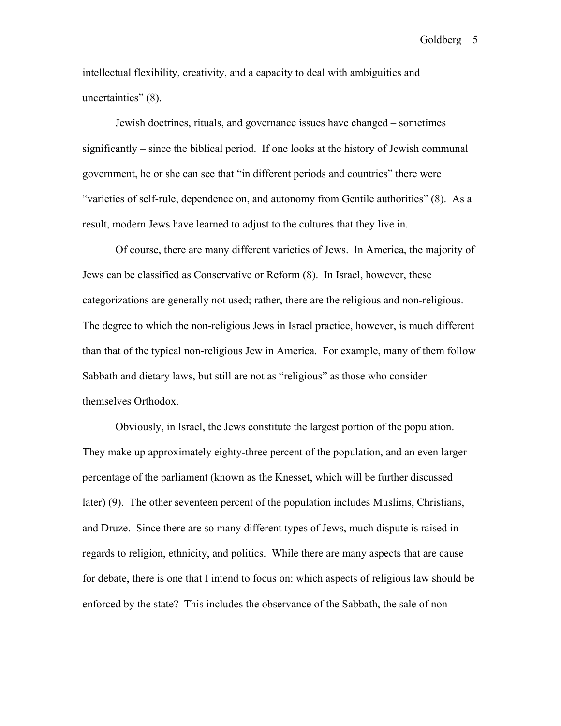intellectual flexibility, creativity, and a capacity to deal with ambiguities and uncertainties" (8).

Jewish doctrines, rituals, and governance issues have changed – sometimes significantly – since the biblical period. If one looks at the history of Jewish communal government, he or she can see that "in different periods and countries" there were "varieties of self-rule, dependence on, and autonomy from Gentile authorities" (8). As a result, modern Jews have learned to adjust to the cultures that they live in.

Of course, there are many different varieties of Jews. In America, the majority of Jews can be classified as Conservative or Reform (8). In Israel, however, these categorizations are generally not used; rather, there are the religious and non-religious. The degree to which the non-religious Jews in Israel practice, however, is much different than that of the typical non-religious Jew in America. For example, many of them follow Sabbath and dietary laws, but still are not as "religious" as those who consider themselves Orthodox.

Obviously, in Israel, the Jews constitute the largest portion of the population. They make up approximately eighty-three percent of the population, and an even larger percentage of the parliament (known as the Knesset, which will be further discussed later) (9). The other seventeen percent of the population includes Muslims, Christians, and Druze. Since there are so many different types of Jews, much dispute is raised in regards to religion, ethnicity, and politics. While there are many aspects that are cause for debate, there is one that I intend to focus on: which aspects of religious law should be enforced by the state? This includes the observance of the Sabbath, the sale of non-

Goldberg 5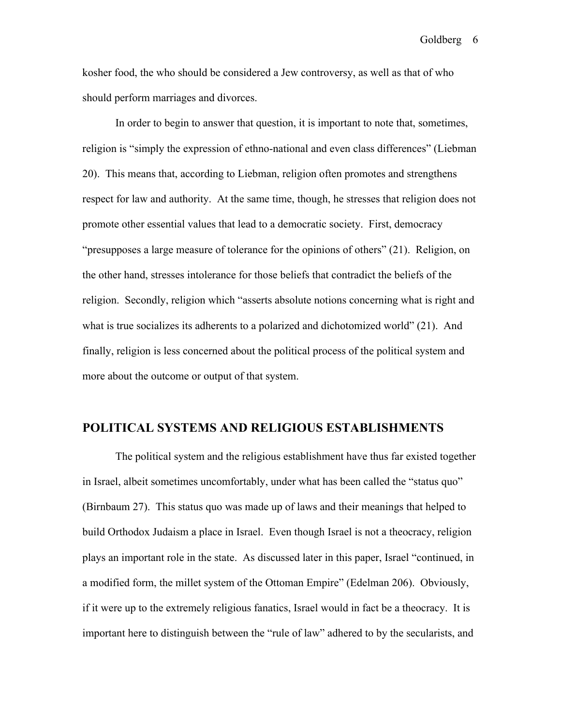kosher food, the who should be considered a Jew controversy, as well as that of who should perform marriages and divorces.

In order to begin to answer that question, it is important to note that, sometimes, religion is "simply the expression of ethno-national and even class differences" (Liebman 20). This means that, according to Liebman, religion often promotes and strengthens respect for law and authority. At the same time, though, he stresses that religion does not promote other essential values that lead to a democratic society. First, democracy "presupposes a large measure of tolerance for the opinions of others" (21). Religion, on the other hand, stresses intolerance for those beliefs that contradict the beliefs of the religion. Secondly, religion which "asserts absolute notions concerning what is right and what is true socializes its adherents to a polarized and dichotomized world" (21). And finally, religion is less concerned about the political process of the political system and more about the outcome or output of that system.

## POLITICAL SYSTEMS AND RELIGIOUS ESTABLISHMENTS

The political system and the religious establishment have thus far existed together in Israel, albeit sometimes uncomfortably, under what has been called the "status quo" (Birnbaum 27). This status quo was made up of laws and their meanings that helped to build Orthodox Judaism a place in Israel. Even though Israel is not a theocracy, religion plays an important role in the state. As discussed later in this paper, Israel "continued, in a modified form, the millet system of the Ottoman Empire" (Edelman 206). Obviously, if it were up to the extremely religious fanatics, Israel would in fact be a theocracy. It is important here to distinguish between the "rule of law" adhered to by the secularists, and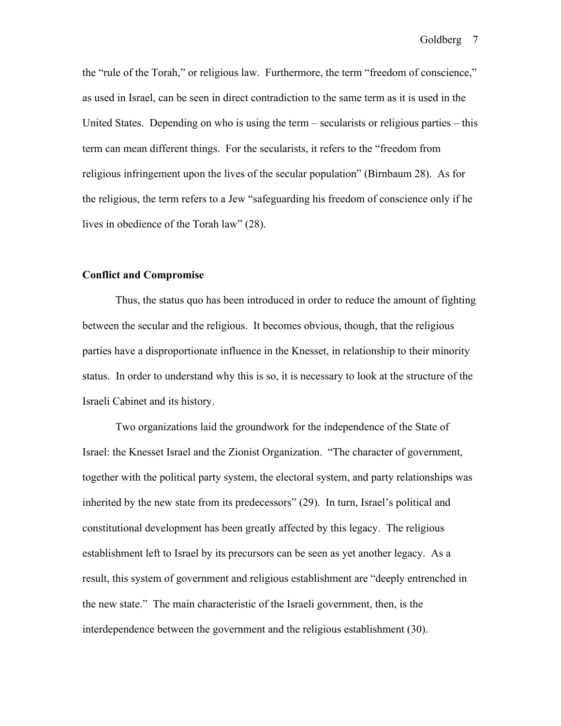the "rule of the Torah," or religious law. Furthermore, the term "freedom of conscience," as used in Israel, can be seen in direct contradiction to the same term as it is used in the United States. Depending on who is using the term – secularists or religious parties – this term can mean different things. For the secularists, it refers to the "freedom from religious infringement upon the lives of the secular population" (Birnbaum 28). As for the religious, the term refers to a Jew "safeguarding his freedom of conscience only if he lives in obedience of the Torah law" (28).

### Conflict and Compromise

Thus, the status quo has been introduced in order to reduce the amount of fighting between the secular and the religious. It becomes obvious, though, that the religious parties have a disproportionate influence in the Knesset, in relationship to their minority status. In order to understand why this is so, it is necessary to look at the structure of the Israeli Cabinet and its history.

Two organizations laid the groundwork for the independence of the State of Israel: the Knesset Israel and the Zionist Organization. "The character of government, together with the political party system, the electoral system, and party relationships was inherited by the new state from its predecessors" (29). In turn, Israel's political and constitutional development has been greatly affected by this legacy. The religious establishment left to Israel by its precursors can be seen as yet another legacy. As a result, this system of government and religious establishment are "deeply entrenched in the new state." The main characteristic of the Israeli government, then, is the interdependence between the government and the religious establishment (30).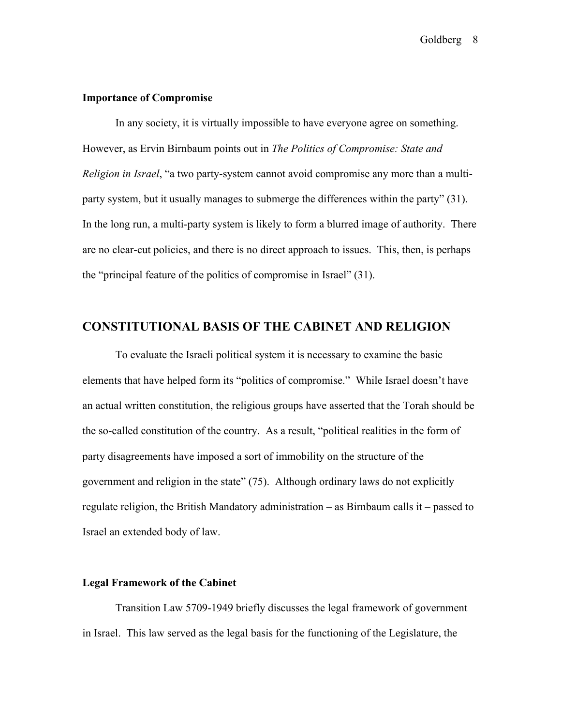### Importance of Compromise

In any society, it is virtually impossible to have everyone agree on something. However, as Ervin Birnbaum points out in *The Politics of Compromise: State and Religion in Israel*, "a two party-system cannot avoid compromise any more than a multiparty system, but it usually manages to submerge the differences within the party" (31). In the long run, a multi-party system is likely to form a blurred image of authority. There are no clear-cut policies, and there is no direct approach to issues. This, then, is perhaps the "principal feature of the politics of compromise in Israel" (31).

## CONSTITUTIONAL BASIS OF THE CABINET AND RELIGION

To evaluate the Israeli political system it is necessary to examine the basic elements that have helped form its "politics of compromise." While Israel doesn't have an actual written constitution, the religious groups have asserted that the Torah should be the so-called constitution of the country. As a result, "political realities in the form of party disagreements have imposed a sort of immobility on the structure of the government and religion in the state" (75). Although ordinary laws do not explicitly regulate religion, the British Mandatory administration – as Birnbaum calls it – passed to Israel an extended body of law.

### Legal Framework of the Cabinet

Transition Law 5709-1949 briefly discusses the legal framework of government in Israel. This law served as the legal basis for the functioning of the Legislature, the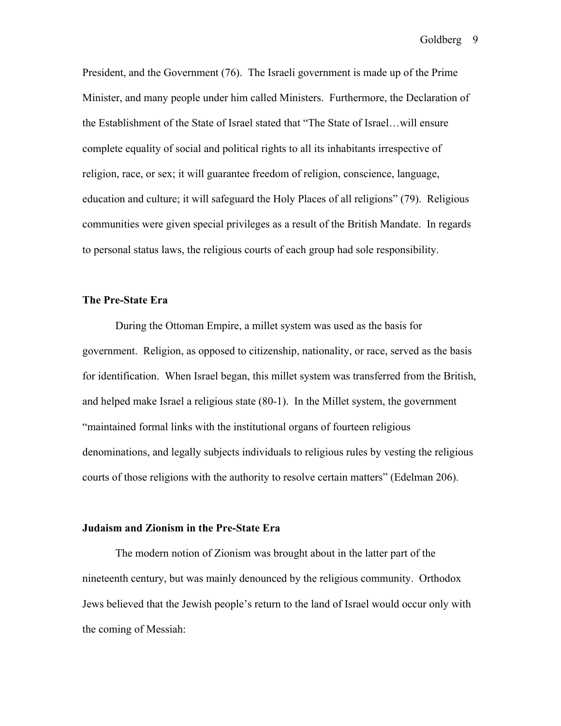President, and the Government (76). The Israeli government is made up of the Prime Minister, and many people under him called Ministers. Furthermore, the Declaration of the Establishment of the State of Israel stated that "The State of Israel…will ensure complete equality of social and political rights to all its inhabitants irrespective of religion, race, or sex; it will guarantee freedom of religion, conscience, language, education and culture; it will safeguard the Holy Places of all religions" (79). Religious communities were given special privileges as a result of the British Mandate. In regards to personal status laws, the religious courts of each group had sole responsibility.

### The Pre-State Era

During the Ottoman Empire, a millet system was used as the basis for government. Religion, as opposed to citizenship, nationality, or race, served as the basis for identification. When Israel began, this millet system was transferred from the British, and helped make Israel a religious state (80-1). In the Millet system, the government "maintained formal links with the institutional organs of fourteen religious denominations, and legally subjects individuals to religious rules by vesting the religious courts of those religions with the authority to resolve certain matters" (Edelman 206).

#### Judaism and Zionism in the Pre-State Era

The modern notion of Zionism was brought about in the latter part of the nineteenth century, but was mainly denounced by the religious community. Orthodox Jews believed that the Jewish people's return to the land of Israel would occur only with the coming of Messiah: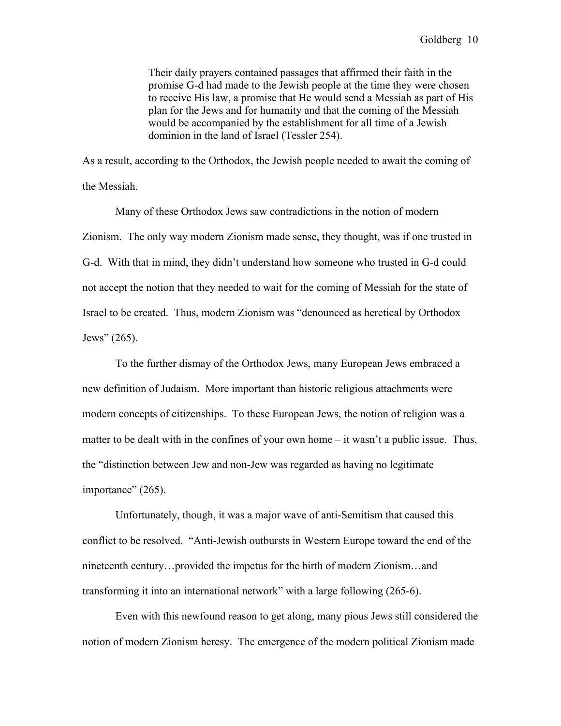Their daily prayers contained passages that affirmed their faith in the promise G-d had made to the Jewish people at the time they were chosen to receive His law, a promise that He would send a Messiah as part of His plan for the Jews and for humanity and that the coming of the Messiah would be accompanied by the establishment for all time of a Jewish dominion in the land of Israel (Tessler 254).

As a result, according to the Orthodox, the Jewish people needed to await the coming of the Messiah.

Many of these Orthodox Jews saw contradictions in the notion of modern Zionism. The only way modern Zionism made sense, they thought, was if one trusted in G-d. With that in mind, they didn't understand how someone who trusted in G-d could not accept the notion that they needed to wait for the coming of Messiah for the state of Israel to be created. Thus, modern Zionism was "denounced as heretical by Orthodox Jews" (265).

To the further dismay of the Orthodox Jews, many European Jews embraced a new definition of Judaism. More important than historic religious attachments were modern concepts of citizenships. To these European Jews, the notion of religion was a matter to be dealt with in the confines of your own home – it wasn't a public issue. Thus, the "distinction between Jew and non-Jew was regarded as having no legitimate importance" (265).

Unfortunately, though, it was a major wave of anti-Semitism that caused this conflict to be resolved. "Anti-Jewish outbursts in Western Europe toward the end of the nineteenth century…provided the impetus for the birth of modern Zionism…and transforming it into an international network" with a large following (265-6).

Even with this newfound reason to get along, many pious Jews still considered the notion of modern Zionism heresy. The emergence of the modern political Zionism made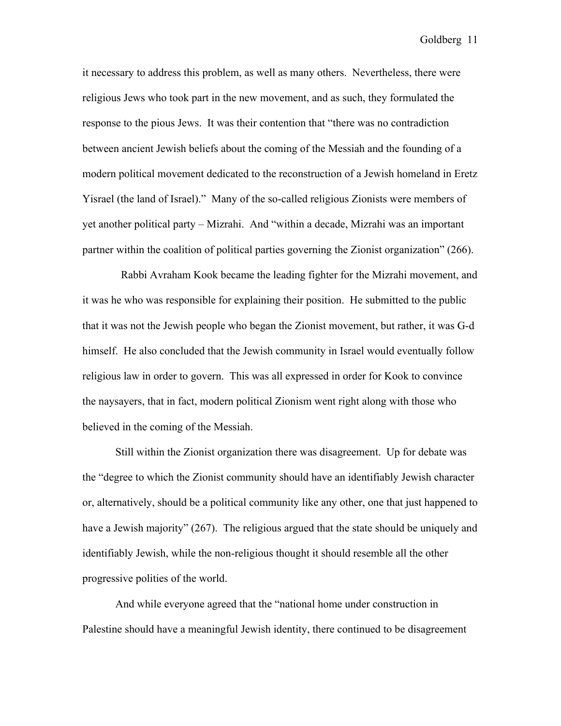it necessary to address this problem, as well as many others. Nevertheless, there were religious Jews who took part in the new movement, and as such, they formulated the response to the pious Jews. It was their contention that "there was no contradiction between ancient Jewish beliefs about the coming of the Messiah and the founding of a modern political movement dedicated to the reconstruction of a Jewish homeland in Eretz Yisrael (the land of Israel)." Many of the so-called religious Zionists were members of yet another political party – Mizrahi. And "within a decade, Mizrahi was an important partner within the coalition of political parties governing the Zionist organization" (266).

 Rabbi Avraham Kook became the leading fighter for the Mizrahi movement, and it was he who was responsible for explaining their position. He submitted to the public that it was not the Jewish people who began the Zionist movement, but rather, it was G-d himself. He also concluded that the Jewish community in Israel would eventually follow religious law in order to govern. This was all expressed in order for Kook to convince the naysayers, that in fact, modern political Zionism went right along with those who believed in the coming of the Messiah.

Still within the Zionist organization there was disagreement. Up for debate was the "degree to which the Zionist community should have an identifiably Jewish character or, alternatively, should be a political community like any other, one that just happened to have a Jewish majority" (267). The religious argued that the state should be uniquely and identifiably Jewish, while the non-religious thought it should resemble all the other progressive polities of the world.

And while everyone agreed that the "national home under construction in Palestine should have a meaningful Jewish identity, there continued to be disagreement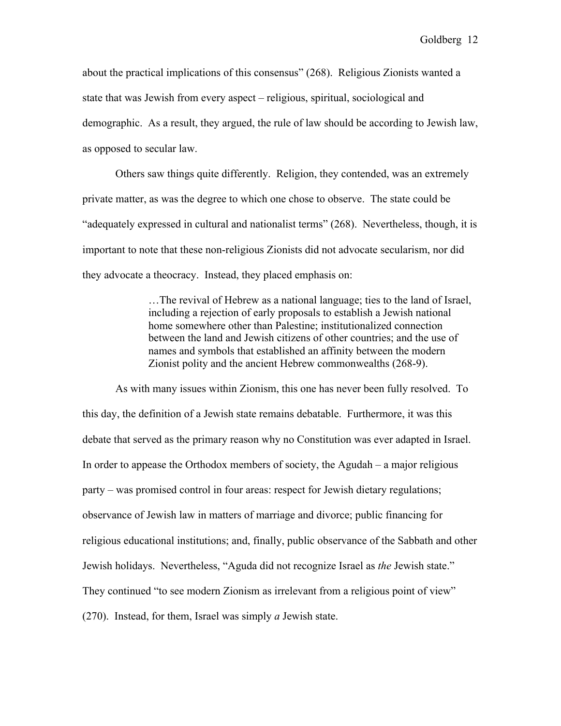about the practical implications of this consensus" (268). Religious Zionists wanted a state that was Jewish from every aspect – religious, spiritual, sociological and demographic. As a result, they argued, the rule of law should be according to Jewish law, as opposed to secular law.

Others saw things quite differently. Religion, they contended, was an extremely private matter, as was the degree to which one chose to observe. The state could be "adequately expressed in cultural and nationalist terms" (268). Nevertheless, though, it is important to note that these non-religious Zionists did not advocate secularism, nor did they advocate a theocracy. Instead, they placed emphasis on:

> …The revival of Hebrew as a national language; ties to the land of Israel, including a rejection of early proposals to establish a Jewish national home somewhere other than Palestine; institutionalized connection between the land and Jewish citizens of other countries; and the use of names and symbols that established an affinity between the modern Zionist polity and the ancient Hebrew commonwealths (268-9).

As with many issues within Zionism, this one has never been fully resolved. To this day, the definition of a Jewish state remains debatable. Furthermore, it was this debate that served as the primary reason why no Constitution was ever adapted in Israel. In order to appease the Orthodox members of society, the Agudah – a major religious party – was promised control in four areas: respect for Jewish dietary regulations; observance of Jewish law in matters of marriage and divorce; public financing for religious educational institutions; and, finally, public observance of the Sabbath and other Jewish holidays. Nevertheless, "Aguda did not recognize Israel as *the* Jewish state." They continued "to see modern Zionism as irrelevant from a religious point of view" (270). Instead, for them, Israel was simply *a* Jewish state.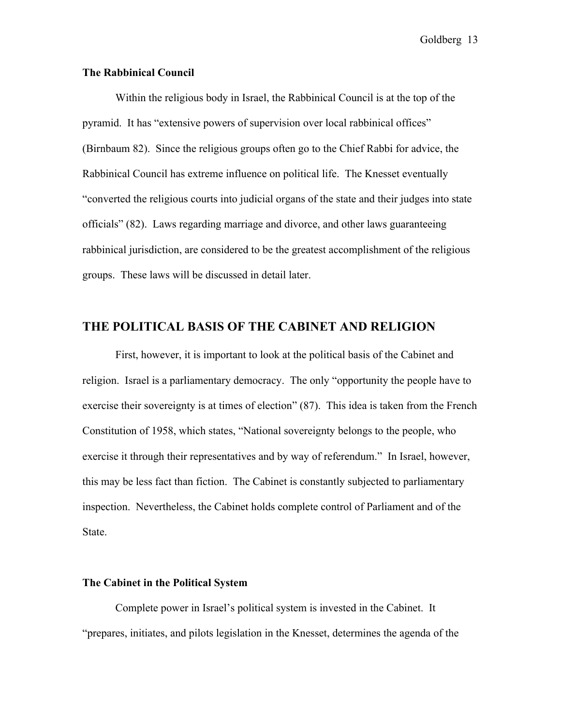### The Rabbinical Council

Within the religious body in Israel, the Rabbinical Council is at the top of the pyramid. It has "extensive powers of supervision over local rabbinical offices" (Birnbaum 82). Since the religious groups often go to the Chief Rabbi for advice, the Rabbinical Council has extreme influence on political life. The Knesset eventually "converted the religious courts into judicial organs of the state and their judges into state officials" (82). Laws regarding marriage and divorce, and other laws guaranteeing rabbinical jurisdiction, are considered to be the greatest accomplishment of the religious groups. These laws will be discussed in detail later.

### THE POLITICAL BASIS OF THE CABINET AND RELIGION

First, however, it is important to look at the political basis of the Cabinet and religion. Israel is a parliamentary democracy. The only "opportunity the people have to exercise their sovereignty is at times of election" (87). This idea is taken from the French Constitution of 1958, which states, "National sovereignty belongs to the people, who exercise it through their representatives and by way of referendum." In Israel, however, this may be less fact than fiction. The Cabinet is constantly subjected to parliamentary inspection. Nevertheless, the Cabinet holds complete control of Parliament and of the State.

#### The Cabinet in the Political System

Complete power in Israel's political system is invested in the Cabinet. It "prepares, initiates, and pilots legislation in the Knesset, determines the agenda of the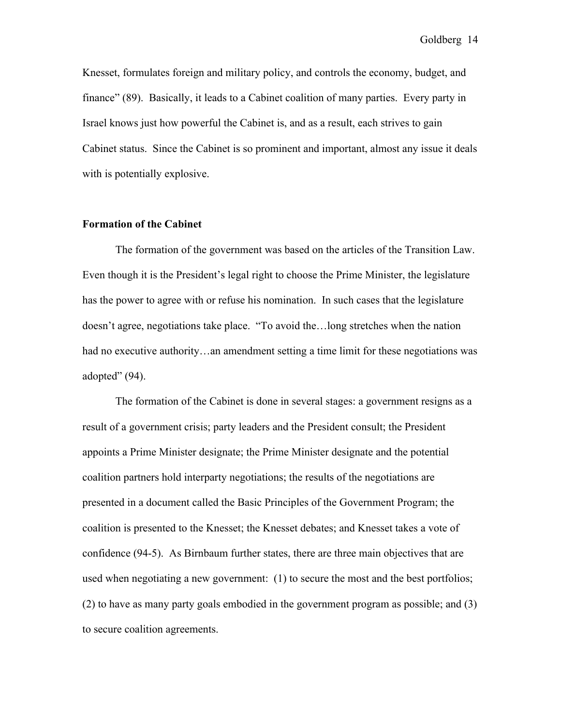Knesset, formulates foreign and military policy, and controls the economy, budget, and finance" (89). Basically, it leads to a Cabinet coalition of many parties. Every party in Israel knows just how powerful the Cabinet is, and as a result, each strives to gain Cabinet status. Since the Cabinet is so prominent and important, almost any issue it deals with is potentially explosive.

## Formation of the Cabinet

The formation of the government was based on the articles of the Transition Law. Even though it is the President's legal right to choose the Prime Minister, the legislature has the power to agree with or refuse his nomination. In such cases that the legislature doesn't agree, negotiations take place. "To avoid the…long stretches when the nation had no executive authority...an amendment setting a time limit for these negotiations was adopted" (94).

The formation of the Cabinet is done in several stages: a government resigns as a result of a government crisis; party leaders and the President consult; the President appoints a Prime Minister designate; the Prime Minister designate and the potential coalition partners hold interparty negotiations; the results of the negotiations are presented in a document called the Basic Principles of the Government Program; the coalition is presented to the Knesset; the Knesset debates; and Knesset takes a vote of confidence (94-5). As Birnbaum further states, there are three main objectives that are used when negotiating a new government: (1) to secure the most and the best portfolios; (2) to have as many party goals embodied in the government program as possible; and (3) to secure coalition agreements.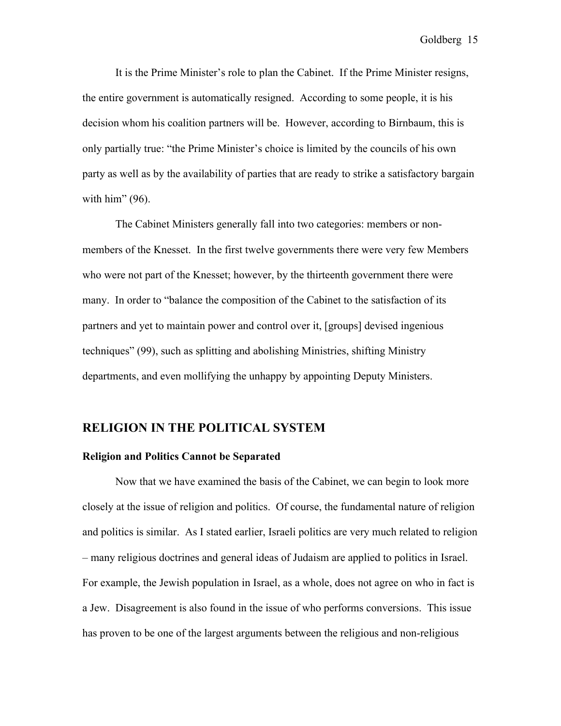It is the Prime Minister's role to plan the Cabinet. If the Prime Minister resigns, the entire government is automatically resigned. According to some people, it is his decision whom his coalition partners will be. However, according to Birnbaum, this is only partially true: "the Prime Minister's choice is limited by the councils of his own party as well as by the availability of parties that are ready to strike a satisfactory bargain with him" (96).

The Cabinet Ministers generally fall into two categories: members or nonmembers of the Knesset. In the first twelve governments there were very few Members who were not part of the Knesset; however, by the thirteenth government there were many. In order to "balance the composition of the Cabinet to the satisfaction of its partners and yet to maintain power and control over it, [groups] devised ingenious techniques" (99), such as splitting and abolishing Ministries, shifting Ministry departments, and even mollifying the unhappy by appointing Deputy Ministers.

## RELIGION IN THE POLITICAL SYSTEM

#### Religion and Politics Cannot be Separated

Now that we have examined the basis of the Cabinet, we can begin to look more closely at the issue of religion and politics. Of course, the fundamental nature of religion and politics is similar. As I stated earlier, Israeli politics are very much related to religion – many religious doctrines and general ideas of Judaism are applied to politics in Israel. For example, the Jewish population in Israel, as a whole, does not agree on who in fact is a Jew. Disagreement is also found in the issue of who performs conversions. This issue has proven to be one of the largest arguments between the religious and non-religious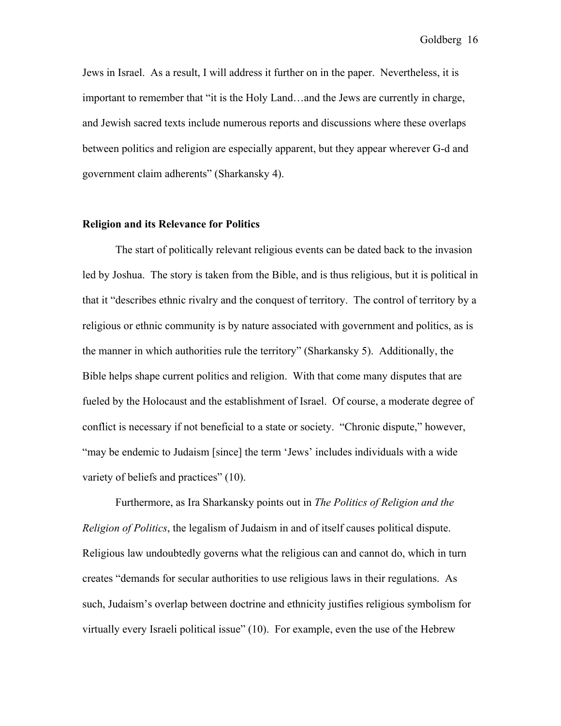Jews in Israel. As a result, I will address it further on in the paper. Nevertheless, it is important to remember that "it is the Holy Land…and the Jews are currently in charge, and Jewish sacred texts include numerous reports and discussions where these overlaps between politics and religion are especially apparent, but they appear wherever G-d and government claim adherents" (Sharkansky 4).

#### Religion and its Relevance for Politics

The start of politically relevant religious events can be dated back to the invasion led by Joshua. The story is taken from the Bible, and is thus religious, but it is political in that it "describes ethnic rivalry and the conquest of territory. The control of territory by a religious or ethnic community is by nature associated with government and politics, as is the manner in which authorities rule the territory" (Sharkansky 5). Additionally, the Bible helps shape current politics and religion. With that come many disputes that are fueled by the Holocaust and the establishment of Israel. Of course, a moderate degree of conflict is necessary if not beneficial to a state or society. "Chronic dispute," however, "may be endemic to Judaism [since] the term 'Jews' includes individuals with a wide variety of beliefs and practices" (10).

Furthermore, as Ira Sharkansky points out in *The Politics of Religion and the Religion of Politics*, the legalism of Judaism in and of itself causes political dispute. Religious law undoubtedly governs what the religious can and cannot do, which in turn creates "demands for secular authorities to use religious laws in their regulations. As such, Judaism's overlap between doctrine and ethnicity justifies religious symbolism for virtually every Israeli political issue" (10). For example, even the use of the Hebrew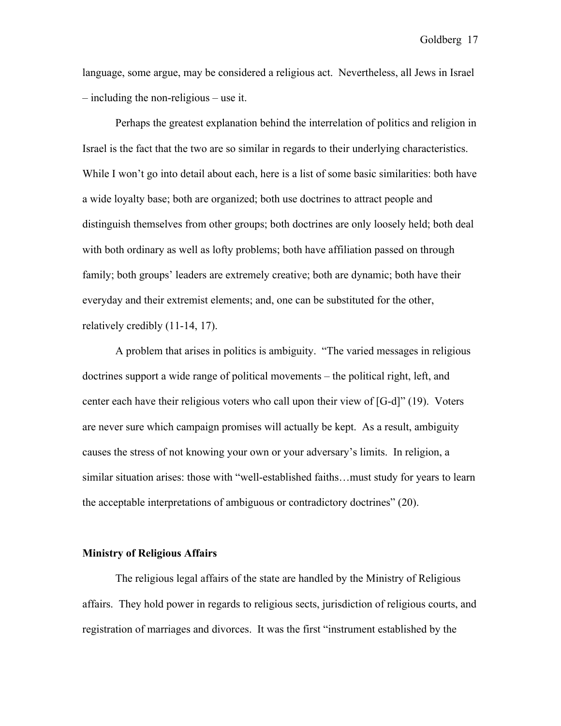language, some argue, may be considered a religious act. Nevertheless, all Jews in Israel – including the non-religious – use it.

Perhaps the greatest explanation behind the interrelation of politics and religion in Israel is the fact that the two are so similar in regards to their underlying characteristics. While I won't go into detail about each, here is a list of some basic similarities: both have a wide loyalty base; both are organized; both use doctrines to attract people and distinguish themselves from other groups; both doctrines are only loosely held; both deal with both ordinary as well as lofty problems; both have affiliation passed on through family; both groups' leaders are extremely creative; both are dynamic; both have their everyday and their extremist elements; and, one can be substituted for the other, relatively credibly (11-14, 17).

A problem that arises in politics is ambiguity. "The varied messages in religious doctrines support a wide range of political movements – the political right, left, and center each have their religious voters who call upon their view of [G-d]" (19). Voters are never sure which campaign promises will actually be kept. As a result, ambiguity causes the stress of not knowing your own or your adversary's limits. In religion, a similar situation arises: those with "well-established faiths…must study for years to learn the acceptable interpretations of ambiguous or contradictory doctrines" (20).

#### Ministry of Religious Affairs

The religious legal affairs of the state are handled by the Ministry of Religious affairs. They hold power in regards to religious sects, jurisdiction of religious courts, and registration of marriages and divorces. It was the first "instrument established by the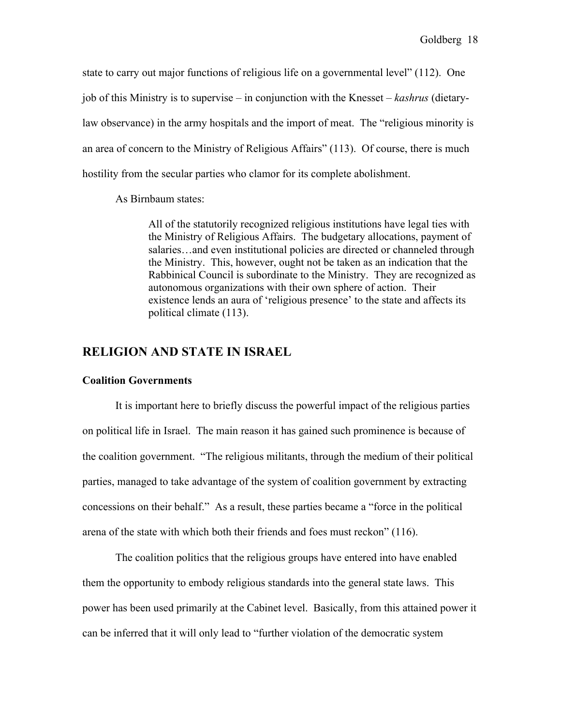state to carry out major functions of religious life on a governmental level" (112). One job of this Ministry is to supervise – in conjunction with the Knesset – *kashrus* (dietarylaw observance) in the army hospitals and the import of meat. The "religious minority is an area of concern to the Ministry of Religious Affairs" (113). Of course, there is much hostility from the secular parties who clamor for its complete abolishment.

As Birnbaum states:

All of the statutorily recognized religious institutions have legal ties with the Ministry of Religious Affairs. The budgetary allocations, payment of salaries…and even institutional policies are directed or channeled through the Ministry. This, however, ought not be taken as an indication that the Rabbinical Council is subordinate to the Ministry. They are recognized as autonomous organizations with their own sphere of action. Their existence lends an aura of 'religious presence' to the state and affects its political climate (113).

## RELIGION AND STATE IN ISRAEL

#### Coalition Governments

It is important here to briefly discuss the powerful impact of the religious parties on political life in Israel. The main reason it has gained such prominence is because of the coalition government. "The religious militants, through the medium of their political parties, managed to take advantage of the system of coalition government by extracting concessions on their behalf." As a result, these parties became a "force in the political arena of the state with which both their friends and foes must reckon" (116).

The coalition politics that the religious groups have entered into have enabled them the opportunity to embody religious standards into the general state laws. This power has been used primarily at the Cabinet level. Basically, from this attained power it can be inferred that it will only lead to "further violation of the democratic system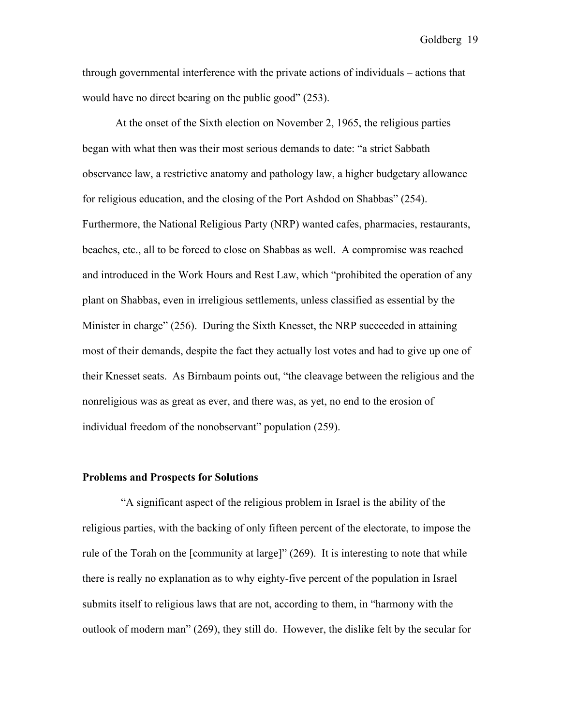through governmental interference with the private actions of individuals – actions that would have no direct bearing on the public good" (253).

At the onset of the Sixth election on November 2, 1965, the religious parties began with what then was their most serious demands to date: "a strict Sabbath observance law, a restrictive anatomy and pathology law, a higher budgetary allowance for religious education, and the closing of the Port Ashdod on Shabbas" (254). Furthermore, the National Religious Party (NRP) wanted cafes, pharmacies, restaurants, beaches, etc., all to be forced to close on Shabbas as well. A compromise was reached and introduced in the Work Hours and Rest Law, which "prohibited the operation of any plant on Shabbas, even in irreligious settlements, unless classified as essential by the Minister in charge" (256). During the Sixth Knesset, the NRP succeeded in attaining most of their demands, despite the fact they actually lost votes and had to give up one of their Knesset seats. As Birnbaum points out, "the cleavage between the religious and the nonreligious was as great as ever, and there was, as yet, no end to the erosion of individual freedom of the nonobservant" population (259).

### Problems and Prospects for Solutions

 "A significant aspect of the religious problem in Israel is the ability of the religious parties, with the backing of only fifteen percent of the electorate, to impose the rule of the Torah on the [community at large]" (269). It is interesting to note that while there is really no explanation as to why eighty-five percent of the population in Israel submits itself to religious laws that are not, according to them, in "harmony with the outlook of modern man" (269), they still do. However, the dislike felt by the secular for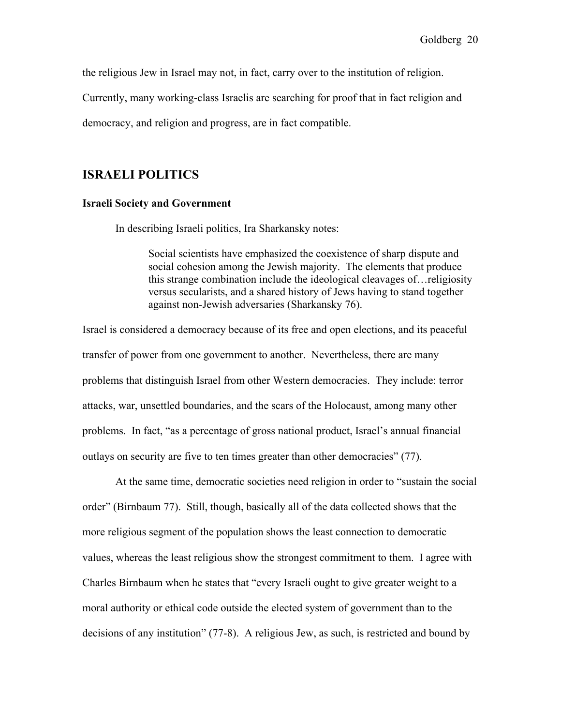the religious Jew in Israel may not, in fact, carry over to the institution of religion.

Currently, many working-class Israelis are searching for proof that in fact religion and

democracy, and religion and progress, are in fact compatible.

## ISRAELI POLITICS

#### Israeli Society and Government

In describing Israeli politics, Ira Sharkansky notes:

Social scientists have emphasized the coexistence of sharp dispute and social cohesion among the Jewish majority. The elements that produce this strange combination include the ideological cleavages of…religiosity versus secularists, and a shared history of Jews having to stand together against non-Jewish adversaries (Sharkansky 76).

Israel is considered a democracy because of its free and open elections, and its peaceful transfer of power from one government to another. Nevertheless, there are many problems that distinguish Israel from other Western democracies. They include: terror attacks, war, unsettled boundaries, and the scars of the Holocaust, among many other problems. In fact, "as a percentage of gross national product, Israel's annual financial outlays on security are five to ten times greater than other democracies" (77).

At the same time, democratic societies need religion in order to "sustain the social order" (Birnbaum 77). Still, though, basically all of the data collected shows that the more religious segment of the population shows the least connection to democratic values, whereas the least religious show the strongest commitment to them. I agree with Charles Birnbaum when he states that "every Israeli ought to give greater weight to a moral authority or ethical code outside the elected system of government than to the decisions of any institution" (77-8). A religious Jew, as such, is restricted and bound by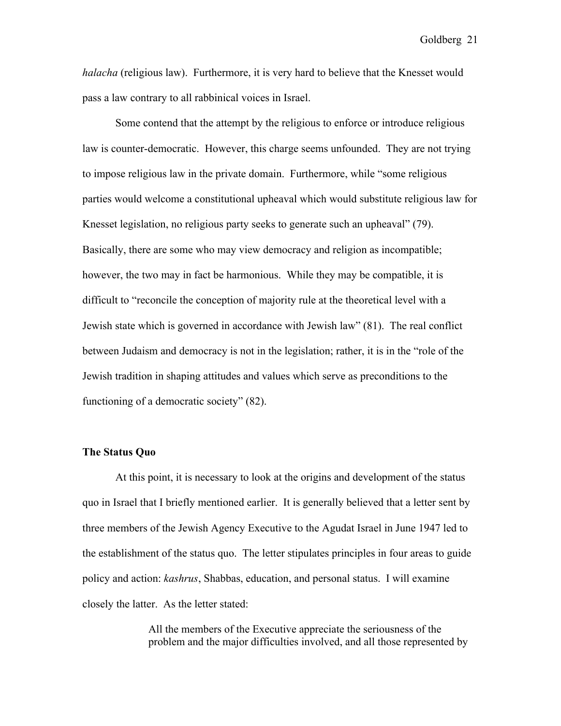*halacha* (religious law). Furthermore, it is very hard to believe that the Knesset would pass a law contrary to all rabbinical voices in Israel.

Some contend that the attempt by the religious to enforce or introduce religious law is counter-democratic. However, this charge seems unfounded. They are not trying to impose religious law in the private domain. Furthermore, while "some religious parties would welcome a constitutional upheaval which would substitute religious law for Knesset legislation, no religious party seeks to generate such an upheaval" (79). Basically, there are some who may view democracy and religion as incompatible; however, the two may in fact be harmonious. While they may be compatible, it is difficult to "reconcile the conception of majority rule at the theoretical level with a Jewish state which is governed in accordance with Jewish law" (81). The real conflict between Judaism and democracy is not in the legislation; rather, it is in the "role of the Jewish tradition in shaping attitudes and values which serve as preconditions to the functioning of a democratic society" (82).

#### The Status Quo

At this point, it is necessary to look at the origins and development of the status quo in Israel that I briefly mentioned earlier. It is generally believed that a letter sent by three members of the Jewish Agency Executive to the Agudat Israel in June 1947 led to the establishment of the status quo. The letter stipulates principles in four areas to guide policy and action: *kashrus*, Shabbas, education, and personal status. I will examine closely the latter. As the letter stated:

> All the members of the Executive appreciate the seriousness of the problem and the major difficulties involved, and all those represented by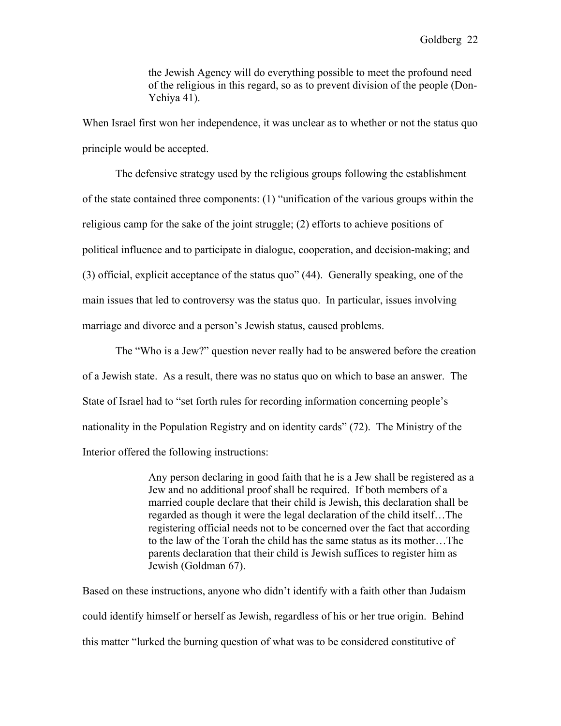the Jewish Agency will do everything possible to meet the profound need of the religious in this regard, so as to prevent division of the people (Don-Yehiya 41).

When Israel first won her independence, it was unclear as to whether or not the status quo principle would be accepted.

The defensive strategy used by the religious groups following the establishment of the state contained three components: (1) "unification of the various groups within the religious camp for the sake of the joint struggle; (2) efforts to achieve positions of political influence and to participate in dialogue, cooperation, and decision-making; and (3) official, explicit acceptance of the status quo" (44). Generally speaking, one of the main issues that led to controversy was the status quo. In particular, issues involving marriage and divorce and a person's Jewish status, caused problems.

The "Who is a Jew?" question never really had to be answered before the creation of a Jewish state. As a result, there was no status quo on which to base an answer. The State of Israel had to "set forth rules for recording information concerning people's nationality in the Population Registry and on identity cards" (72). The Ministry of the Interior offered the following instructions:

> Any person declaring in good faith that he is a Jew shall be registered as a Jew and no additional proof shall be required. If both members of a married couple declare that their child is Jewish, this declaration shall be regarded as though it were the legal declaration of the child itself…The registering official needs not to be concerned over the fact that according to the law of the Torah the child has the same status as its mother…The parents declaration that their child is Jewish suffices to register him as Jewish (Goldman 67).

Based on these instructions, anyone who didn't identify with a faith other than Judaism could identify himself or herself as Jewish, regardless of his or her true origin. Behind this matter "lurked the burning question of what was to be considered constitutive of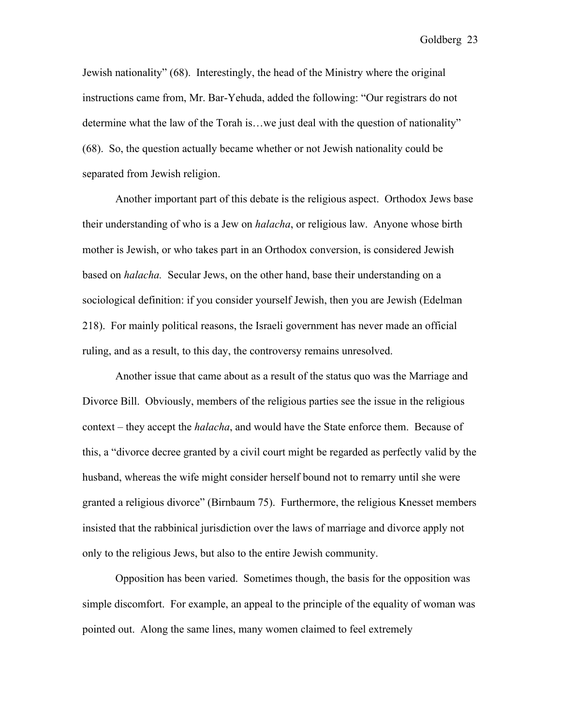Jewish nationality" (68). Interestingly, the head of the Ministry where the original instructions came from, Mr. Bar-Yehuda, added the following: "Our registrars do not determine what the law of the Torah is…we just deal with the question of nationality" (68). So, the question actually became whether or not Jewish nationality could be separated from Jewish religion.

Another important part of this debate is the religious aspect. Orthodox Jews base their understanding of who is a Jew on *halacha*, or religious law. Anyone whose birth mother is Jewish, or who takes part in an Orthodox conversion, is considered Jewish based on *halacha.* Secular Jews, on the other hand, base their understanding on a sociological definition: if you consider yourself Jewish, then you are Jewish (Edelman 218). For mainly political reasons, the Israeli government has never made an official ruling, and as a result, to this day, the controversy remains unresolved.

Another issue that came about as a result of the status quo was the Marriage and Divorce Bill. Obviously, members of the religious parties see the issue in the religious context – they accept the *halacha*, and would have the State enforce them. Because of this, a "divorce decree granted by a civil court might be regarded as perfectly valid by the husband, whereas the wife might consider herself bound not to remarry until she were granted a religious divorce" (Birnbaum 75). Furthermore, the religious Knesset members insisted that the rabbinical jurisdiction over the laws of marriage and divorce apply not only to the religious Jews, but also to the entire Jewish community.

Opposition has been varied. Sometimes though, the basis for the opposition was simple discomfort. For example, an appeal to the principle of the equality of woman was pointed out. Along the same lines, many women claimed to feel extremely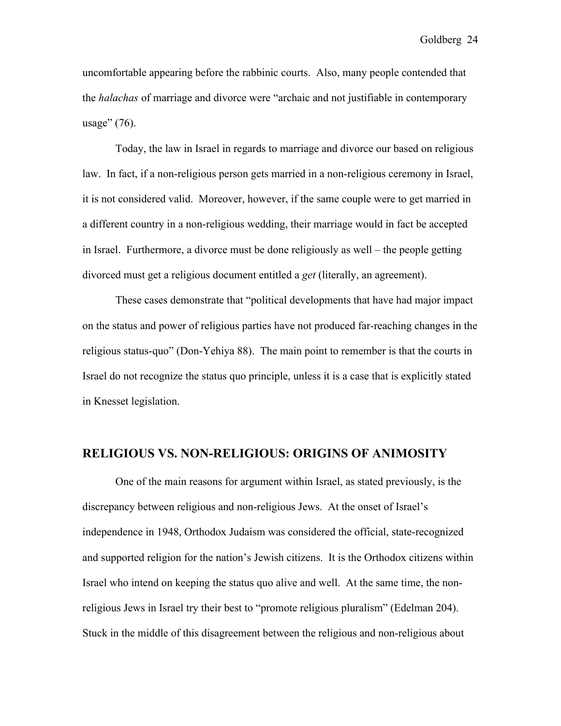uncomfortable appearing before the rabbinic courts. Also, many people contended that the *halachas* of marriage and divorce were "archaic and not justifiable in contemporary usage" (76).

Today, the law in Israel in regards to marriage and divorce our based on religious law. In fact, if a non-religious person gets married in a non-religious ceremony in Israel, it is not considered valid. Moreover, however, if the same couple were to get married in a different country in a non-religious wedding, their marriage would in fact be accepted in Israel. Furthermore, a divorce must be done religiously as well – the people getting divorced must get a religious document entitled a *get* (literally, an agreement).

These cases demonstrate that "political developments that have had major impact on the status and power of religious parties have not produced far-reaching changes in the religious status-quo" (Don-Yehiya 88). The main point to remember is that the courts in Israel do not recognize the status quo principle, unless it is a case that is explicitly stated in Knesset legislation.

#### RELIGIOUS VS. NON-RELIGIOUS: ORIGINS OF ANIMOSITY

One of the main reasons for argument within Israel, as stated previously, is the discrepancy between religious and non-religious Jews. At the onset of Israel's independence in 1948, Orthodox Judaism was considered the official, state-recognized and supported religion for the nation's Jewish citizens. It is the Orthodox citizens within Israel who intend on keeping the status quo alive and well. At the same time, the nonreligious Jews in Israel try their best to "promote religious pluralism" (Edelman 204). Stuck in the middle of this disagreement between the religious and non-religious about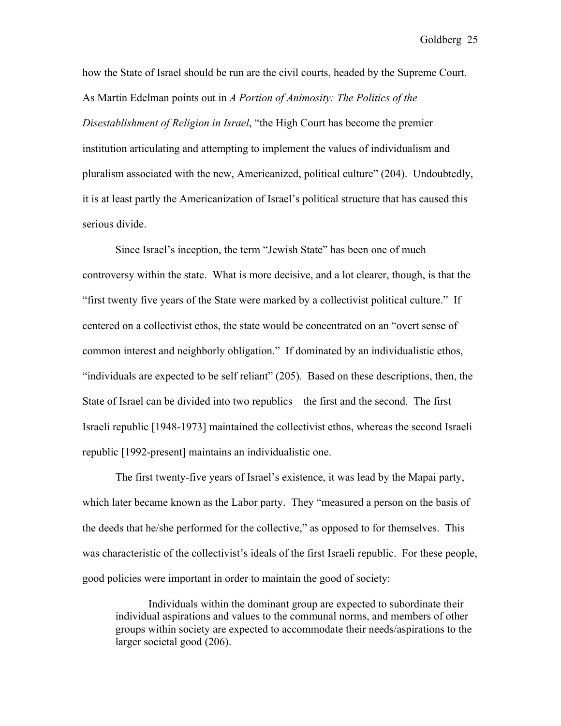how the State of Israel should be run are the civil courts, headed by the Supreme Court. As Martin Edelman points out in *A Portion of Animosity: The Politics of the Disestablishment of Religion in Israel*, "the High Court has become the premier institution articulating and attempting to implement the values of individualism and pluralism associated with the new, Americanized, political culture" (204). Undoubtedly, it is at least partly the Americanization of Israel's political structure that has caused this serious divide.

Since Israel's inception, the term "Jewish State" has been one of much controversy within the state. What is more decisive, and a lot clearer, though, is that the "first twenty five years of the State were marked by a collectivist political culture." If centered on a collectivist ethos, the state would be concentrated on an "overt sense of common interest and neighborly obligation." If dominated by an individualistic ethos, "individuals are expected to be self reliant" (205). Based on these descriptions, then, the State of Israel can be divided into two republics – the first and the second. The first Israeli republic [1948-1973] maintained the collectivist ethos, whereas the second Israeli republic [1992-present] maintains an individualistic one.

The first twenty-five years of Israel's existence, it was lead by the Mapai party, which later became known as the Labor party. They "measured a person on the basis of the deeds that he/she performed for the collective," as opposed to for themselves. This was characteristic of the collectivist's ideals of the first Israeli republic. For these people, good policies were important in order to maintain the good of society:

Individuals within the dominant group are expected to subordinate their individual aspirations and values to the communal norms, and members of other groups within society are expected to accommodate their needs/aspirations to the larger societal good (206).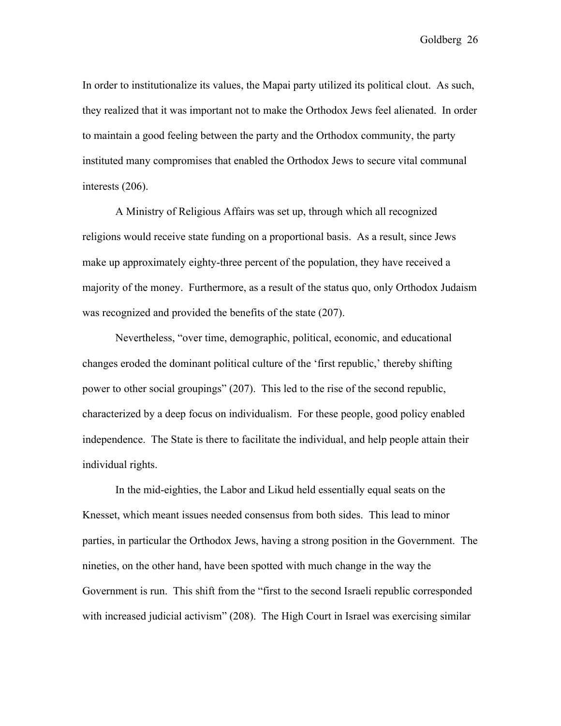In order to institutionalize its values, the Mapai party utilized its political clout. As such, they realized that it was important not to make the Orthodox Jews feel alienated. In order to maintain a good feeling between the party and the Orthodox community, the party instituted many compromises that enabled the Orthodox Jews to secure vital communal interests (206).

A Ministry of Religious Affairs was set up, through which all recognized religions would receive state funding on a proportional basis. As a result, since Jews make up approximately eighty-three percent of the population, they have received a majority of the money. Furthermore, as a result of the status quo, only Orthodox Judaism was recognized and provided the benefits of the state (207).

Nevertheless, "over time, demographic, political, economic, and educational changes eroded the dominant political culture of the 'first republic,' thereby shifting power to other social groupings" (207). This led to the rise of the second republic, characterized by a deep focus on individualism. For these people, good policy enabled independence. The State is there to facilitate the individual, and help people attain their individual rights.

In the mid-eighties, the Labor and Likud held essentially equal seats on the Knesset, which meant issues needed consensus from both sides. This lead to minor parties, in particular the Orthodox Jews, having a strong position in the Government. The nineties, on the other hand, have been spotted with much change in the way the Government is run. This shift from the "first to the second Israeli republic corresponded with increased judicial activism" (208). The High Court in Israel was exercising similar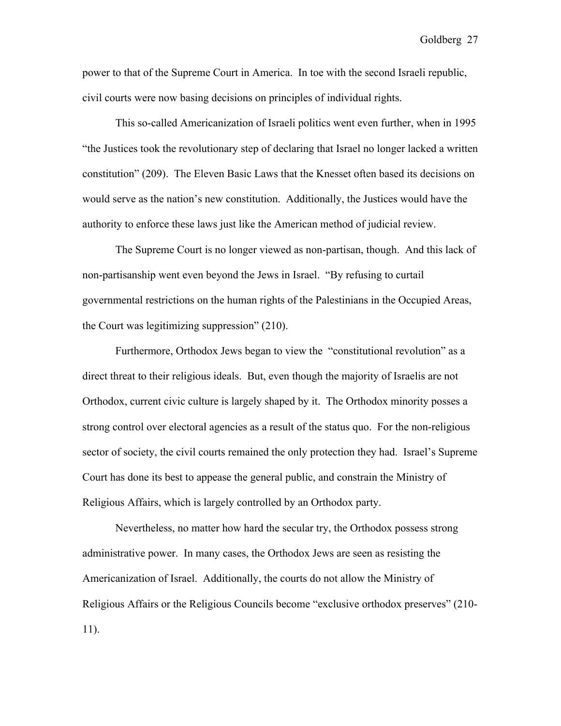power to that of the Supreme Court in America. In toe with the second Israeli republic, civil courts were now basing decisions on principles of individual rights.

This so-called Americanization of Israeli politics went even further, when in 1995 "the Justices took the revolutionary step of declaring that Israel no longer lacked a written constitution" (209). The Eleven Basic Laws that the Knesset often based its decisions on would serve as the nation's new constitution. Additionally, the Justices would have the authority to enforce these laws just like the American method of judicial review.

The Supreme Court is no longer viewed as non-partisan, though. And this lack of non-partisanship went even beyond the Jews in Israel. "By refusing to curtail governmental restrictions on the human rights of the Palestinians in the Occupied Areas, the Court was legitimizing suppression" (210).

Furthermore, Orthodox Jews began to view the "constitutional revolution" as a direct threat to their religious ideals. But, even though the majority of Israelis are not Orthodox, current civic culture is largely shaped by it. The Orthodox minority posses a strong control over electoral agencies as a result of the status quo. For the non-religious sector of society, the civil courts remained the only protection they had. Israel's Supreme Court has done its best to appease the general public, and constrain the Ministry of Religious Affairs, which is largely controlled by an Orthodox party.

Nevertheless, no matter how hard the secular try, the Orthodox possess strong administrative power. In many cases, the Orthodox Jews are seen as resisting the Americanization of Israel. Additionally, the courts do not allow the Ministry of Religious Affairs or the Religious Councils become "exclusive orthodox preserves" (210- 11).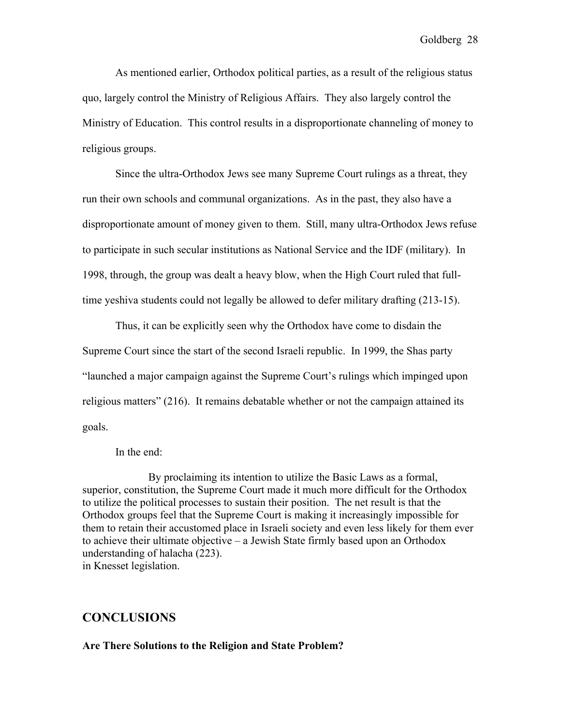As mentioned earlier, Orthodox political parties, as a result of the religious status quo, largely control the Ministry of Religious Affairs. They also largely control the Ministry of Education. This control results in a disproportionate channeling of money to religious groups.

Since the ultra-Orthodox Jews see many Supreme Court rulings as a threat, they run their own schools and communal organizations. As in the past, they also have a disproportionate amount of money given to them. Still, many ultra-Orthodox Jews refuse to participate in such secular institutions as National Service and the IDF (military). In 1998, through, the group was dealt a heavy blow, when the High Court ruled that fulltime yeshiva students could not legally be allowed to defer military drafting (213-15).

Thus, it can be explicitly seen why the Orthodox have come to disdain the Supreme Court since the start of the second Israeli republic. In 1999, the Shas party "launched a major campaign against the Supreme Court's rulings which impinged upon religious matters" (216). It remains debatable whether or not the campaign attained its goals.

In the end:

By proclaiming its intention to utilize the Basic Laws as a formal, superior, constitution, the Supreme Court made it much more difficult for the Orthodox to utilize the political processes to sustain their position. The net result is that the Orthodox groups feel that the Supreme Court is making it increasingly impossible for them to retain their accustomed place in Israeli society and even less likely for them ever to achieve their ultimate objective – a Jewish State firmly based upon an Orthodox understanding of halacha (223). in Knesset legislation.

# **CONCLUSIONS**

#### Are There Solutions to the Religion and State Problem?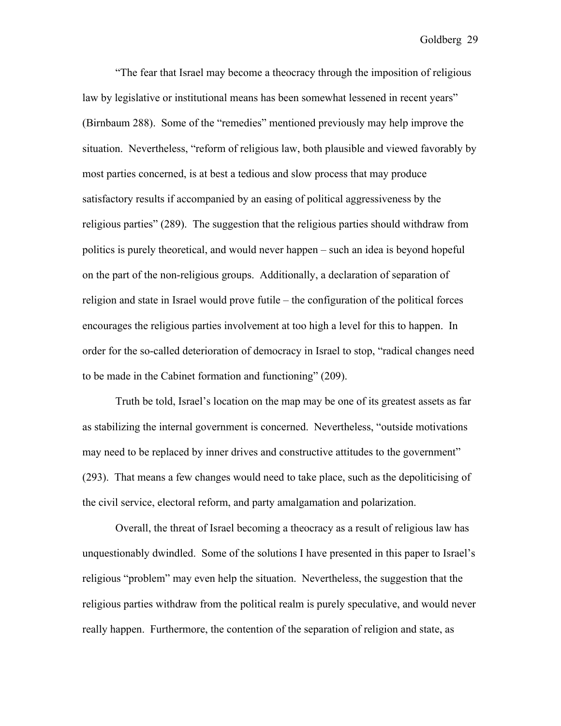"The fear that Israel may become a theocracy through the imposition of religious law by legislative or institutional means has been somewhat lessened in recent years" (Birnbaum 288). Some of the "remedies" mentioned previously may help improve the situation. Nevertheless, "reform of religious law, both plausible and viewed favorably by most parties concerned, is at best a tedious and slow process that may produce satisfactory results if accompanied by an easing of political aggressiveness by the religious parties" (289). The suggestion that the religious parties should withdraw from politics is purely theoretical, and would never happen – such an idea is beyond hopeful on the part of the non-religious groups. Additionally, a declaration of separation of religion and state in Israel would prove futile – the configuration of the political forces encourages the religious parties involvement at too high a level for this to happen. In order for the so-called deterioration of democracy in Israel to stop, "radical changes need to be made in the Cabinet formation and functioning" (209).

Truth be told, Israel's location on the map may be one of its greatest assets as far as stabilizing the internal government is concerned. Nevertheless, "outside motivations may need to be replaced by inner drives and constructive attitudes to the government" (293). That means a few changes would need to take place, such as the depoliticising of the civil service, electoral reform, and party amalgamation and polarization.

Overall, the threat of Israel becoming a theocracy as a result of religious law has unquestionably dwindled. Some of the solutions I have presented in this paper to Israel's religious "problem" may even help the situation. Nevertheless, the suggestion that the religious parties withdraw from the political realm is purely speculative, and would never really happen. Furthermore, the contention of the separation of religion and state, as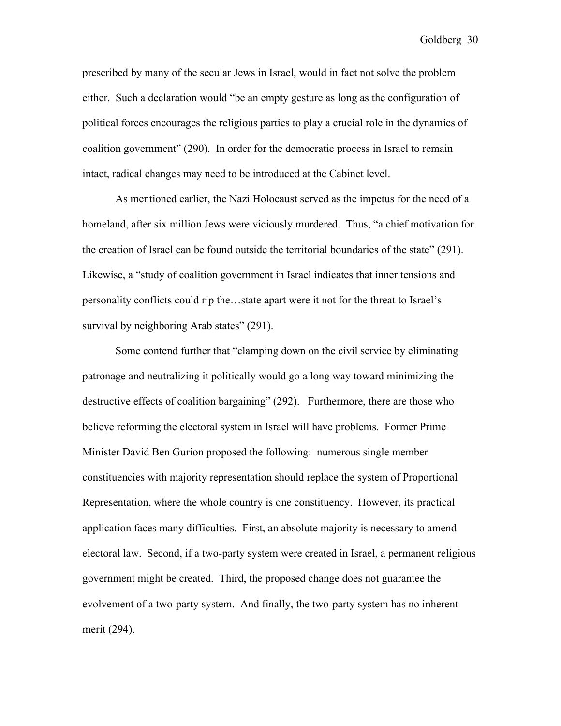prescribed by many of the secular Jews in Israel, would in fact not solve the problem either. Such a declaration would "be an empty gesture as long as the configuration of political forces encourages the religious parties to play a crucial role in the dynamics of coalition government" (290). In order for the democratic process in Israel to remain intact, radical changes may need to be introduced at the Cabinet level.

As mentioned earlier, the Nazi Holocaust served as the impetus for the need of a homeland, after six million Jews were viciously murdered. Thus, "a chief motivation for the creation of Israel can be found outside the territorial boundaries of the state" (291). Likewise, a "study of coalition government in Israel indicates that inner tensions and personality conflicts could rip the…state apart were it not for the threat to Israel's survival by neighboring Arab states" (291).

Some contend further that "clamping down on the civil service by eliminating patronage and neutralizing it politically would go a long way toward minimizing the destructive effects of coalition bargaining" (292). Furthermore, there are those who believe reforming the electoral system in Israel will have problems. Former Prime Minister David Ben Gurion proposed the following: numerous single member constituencies with majority representation should replace the system of Proportional Representation, where the whole country is one constituency. However, its practical application faces many difficulties. First, an absolute majority is necessary to amend electoral law. Second, if a two-party system were created in Israel, a permanent religious government might be created. Third, the proposed change does not guarantee the evolvement of a two-party system. And finally, the two-party system has no inherent merit (294).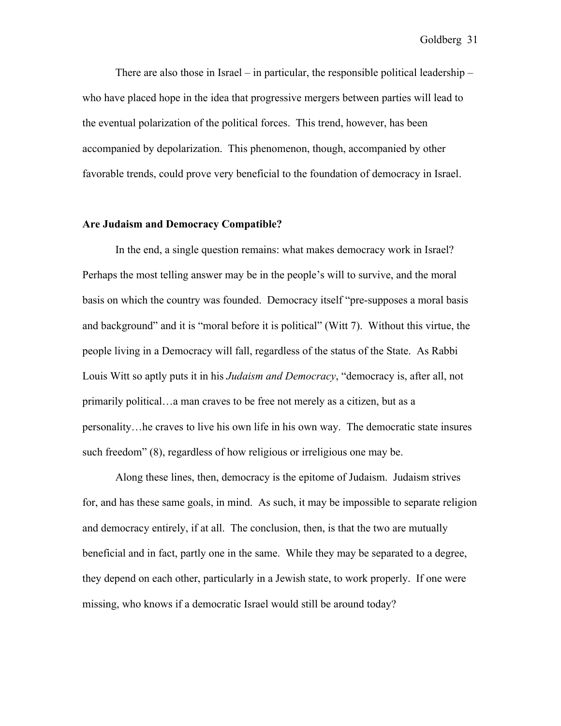There are also those in Israel – in particular, the responsible political leadership – who have placed hope in the idea that progressive mergers between parties will lead to the eventual polarization of the political forces. This trend, however, has been accompanied by depolarization. This phenomenon, though, accompanied by other favorable trends, could prove very beneficial to the foundation of democracy in Israel.

## Are Judaism and Democracy Compatible?

In the end, a single question remains: what makes democracy work in Israel? Perhaps the most telling answer may be in the people's will to survive, and the moral basis on which the country was founded. Democracy itself "pre-supposes a moral basis and background" and it is "moral before it is political" (Witt 7). Without this virtue, the people living in a Democracy will fall, regardless of the status of the State. As Rabbi Louis Witt so aptly puts it in his *Judaism and Democracy*, "democracy is, after all, not primarily political…a man craves to be free not merely as a citizen, but as a personality…he craves to live his own life in his own way. The democratic state insures such freedom" (8), regardless of how religious or irreligious one may be.

Along these lines, then, democracy is the epitome of Judaism. Judaism strives for, and has these same goals, in mind. As such, it may be impossible to separate religion and democracy entirely, if at all. The conclusion, then, is that the two are mutually beneficial and in fact, partly one in the same. While they may be separated to a degree, they depend on each other, particularly in a Jewish state, to work properly. If one were missing, who knows if a democratic Israel would still be around today?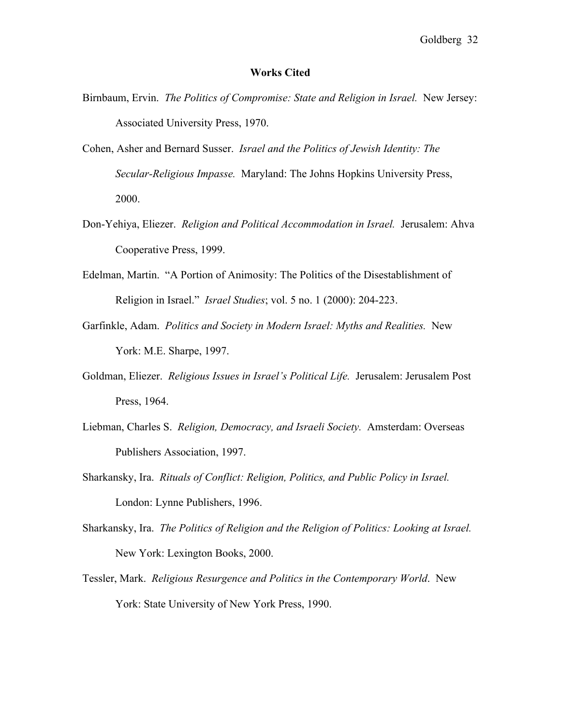#### Works Cited

- Birnbaum, Ervin. *The Politics of Compromise: State and Religion in Israel.* New Jersey: Associated University Press, 1970.
- Cohen, Asher and Bernard Susser. *Israel and the Politics of Jewish Identity: The Secular-Religious Impasse.* Maryland: The Johns Hopkins University Press, 2000.
- Don-Yehiya, Eliezer. *Religion and Political Accommodation in Israel.* Jerusalem: Ahva Cooperative Press, 1999.
- Edelman, Martin. "A Portion of Animosity: The Politics of the Disestablishment of Religion in Israel." *Israel Studies*; vol. 5 no. 1 (2000): 204-223.
- Garfinkle, Adam. *Politics and Society in Modern Israel: Myths and Realities.* New York: M.E. Sharpe, 1997.
- Goldman, Eliezer. *Religious Issues in Israel's Political Life.* Jerusalem: Jerusalem Post Press, 1964.
- Liebman, Charles S. *Religion, Democracy, and Israeli Society.* Amsterdam: Overseas Publishers Association, 1997.
- Sharkansky, Ira. *Rituals of Conflict: Religion, Politics, and Public Policy in Israel.* London: Lynne Publishers, 1996.
- Sharkansky, Ira. *The Politics of Religion and the Religion of Politics: Looking at Israel.* New York: Lexington Books, 2000.
- Tessler, Mark. *Religious Resurgence and Politics in the Contemporary World*. New York: State University of New York Press, 1990.